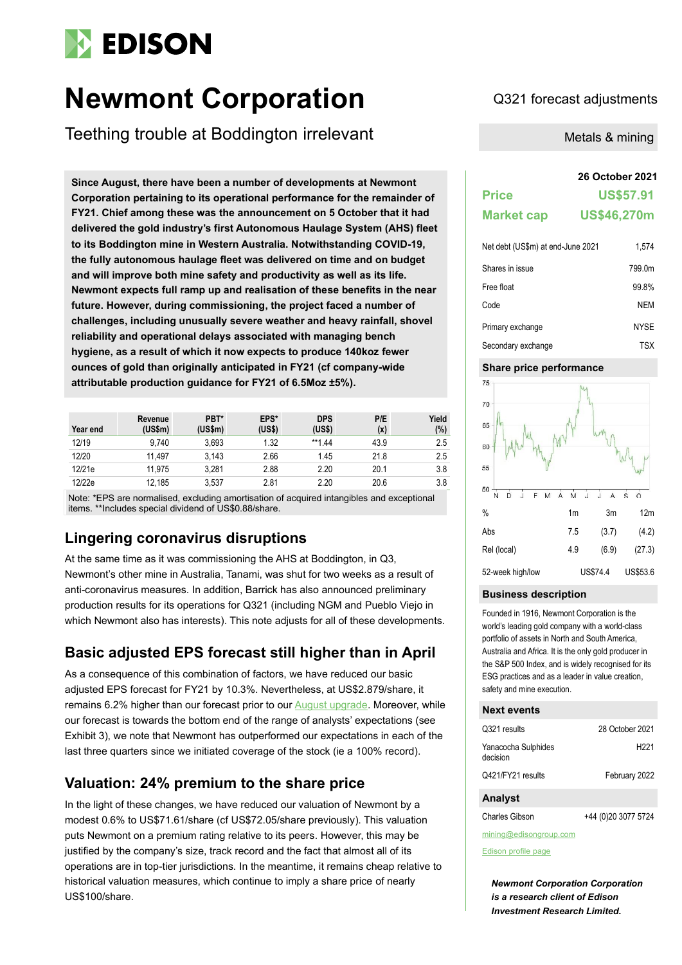# **EDISON**

# **Newmont Corporation** Q321 forecast adjustments

Teething trouble at Boddington irrelevant

**Since August, there have been a number of developments at Newmont Corporation pertaining to its operational performance for the remainder of FY21. Chief among these was the announcement on 5 October that it had delivered the gold industry's first Autonomous Haulage System (AHS) fleet to its Boddington mine in Western Australia. Notwithstanding COVID-19, the fully autonomous haulage fleet was delivered on time and on budget and will improve both mine safety and productivity as well as its life. Newmont expects full ramp up and realisation of these benefits in the near future. However, during commissioning, the project faced a number of challenges, including unusually severe weather and heavy rainfall, shovel reliability and operational delays associated with managing bench hygiene, as a result of which it now expects to produce 140koz fewer ounces of gold than originally anticipated in FY21 (cf company-wide attributable production guidance for FY21 of 6.5Moz ±5%).**

| Year end | Revenue<br>(US\$m) | PBT*<br>(US\$m) | EPS*<br>(US\$) | <b>DPS</b><br>(US\$) | P/E<br>(x) | Yield<br>(%) |
|----------|--------------------|-----------------|----------------|----------------------|------------|--------------|
| 12/19    | 9.740              | 3.693           | 1.32           | **1.44               | 43.9       | 2.5          |
| 12/20    | 11.497             | 3.143           | 2.66           | 1.45                 | 21.8       | 2.5          |
| 12/21e   | 11.975             | 3.281           | 2.88           | 2.20                 | 20.1       | 3.8          |
| 12/22e   | 12,185             | 3.537           | 2.81           | 2.20                 | 20.6       | 3.8          |

Note: \*EPS are normalised, excluding amortisation of acquired intangibles and exceptional items. \*\*Includes special dividend of US\$0.88/share.

# **Lingering coronavirus disruptions**

At the same time as it was commissioning the AHS at Boddington, in Q3, Newmont's other mine in Australia, Tanami, was shut for two weeks as a result of anti-coronavirus measures. In addition, Barrick has also announced preliminary production results for its operations for Q321 (including NGM and Pueblo Viejo in which Newmont also has interests). This note adjusts for all of these developments.

# **Basic adjusted EPS forecast still higher than in April**

As a consequence of this combination of factors, we have reduced our basic adjusted EPS forecast for FY21 by 10.3%. Nevertheless, at US\$2.879/share, it remains 6.2% higher than our forecast prior to our **August upgrade**. Moreover, while our forecast is towards the bottom end of the range of analysts' expectations (see Exhibit 3), we note that Newmont has outperformed our expectations in each of the last three quarters since we initiated coverage of the stock (ie a 100% record).

# **Valuation: 24% premium to the share price**

In the light of these changes, we have reduced our valuation of Newmont by a modest 0.6% to US\$71.61/share (cf US\$72.05/share previously). This valuation puts Newmont on a premium rating relative to its peers. However, this may be justified by the company's size, track record and the fact that almost all of its operations are in top-tier jurisdictions. In the meantime, it remains cheap relative to historical valuation measures, which continue to imply a share price of nearly US\$100/share.

Metals & mining

# **26 October 2021**

| <b>Price</b>      | <b>US\$57.91</b>   |
|-------------------|--------------------|
| <b>Market cap</b> | <b>US\$46,270m</b> |
|                   |                    |

| Net debt (US\$m) at end-June 2021 | 1.574       |
|-----------------------------------|-------------|
| Shares in issue                   | 799.0m      |
| Free float                        | 99.8%       |
| Code                              | NEM         |
| Primary exchange                  | <b>NYSE</b> |
| Secondary exchange                | TSX         |

# **Share price performance**



#### **Business description**

Founded in 1916, Newmont Corporation is the world's leading gold company with a world-class portfolio of assets in North and South America, Australia and Africa. It is the only gold producer in the S&P 500 Index, and is widely recognised for its ESG practices and as a leader in value creation, safety and mine execution.

#### **Next events**

| February 2022    |
|------------------|
| H <sub>221</sub> |
| 28 October 2021  |
|                  |

Charles Gibson +44 (0)20 3077 5724

mining@edisongroup.com

[Edison profile page](https://www.edisongroup.com/company/newmont/)

*Newmont Corporation Corporation is a research client of Edison Investment Research Limited.*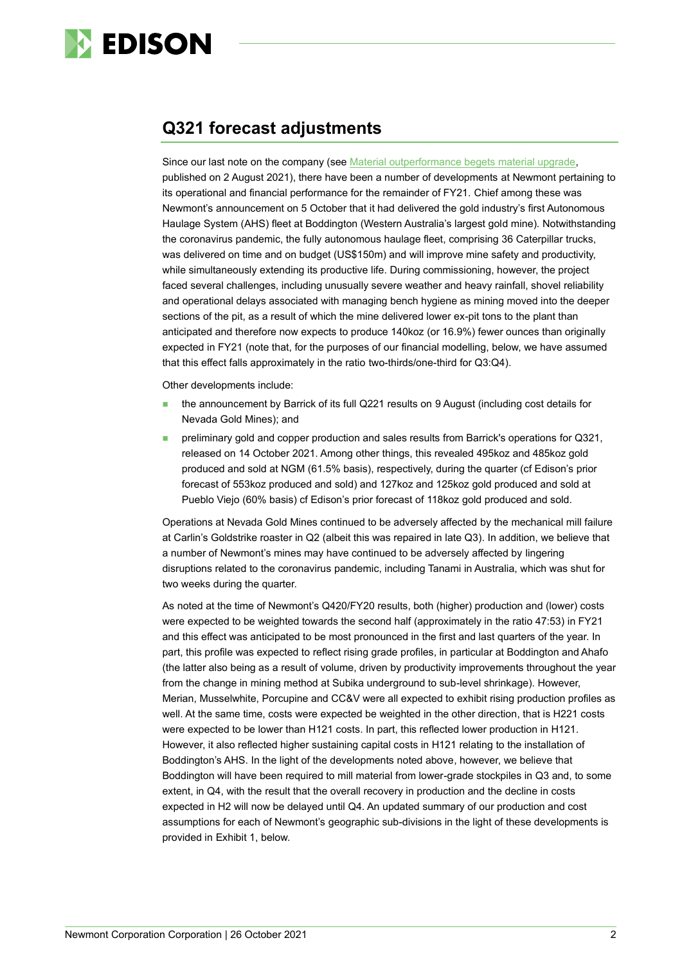

# **Q321 forecast adjustments**

Since our last note on the company (see [Material outperformance begets material upgrade,](https://www.edisongroup.com/publication/material-outperformance-begets-material-upgrade/29779/) published on 2 August 2021), there have been a number of developments at Newmont pertaining to its operational and financial performance for the remainder of FY21. Chief among these was Newmont's announcement on 5 October that it had delivered the gold industry's first Autonomous Haulage System (AHS) fleet at Boddington (Western Australia's largest gold mine). Notwithstanding the coronavirus pandemic, the fully autonomous haulage fleet, comprising 36 Caterpillar trucks, was delivered on time and on budget (US\$150m) and will improve mine safety and productivity, while simultaneously extending its productive life. During commissioning, however, the project faced several challenges, including unusually severe weather and heavy rainfall, shovel reliability and operational delays associated with managing bench hygiene as mining moved into the deeper sections of the pit, as a result of which the mine delivered lower ex-pit tons to the plant than anticipated and therefore now expects to produce 140koz (or 16.9%) fewer ounces than originally expected in FY21 (note that, for the purposes of our financial modelling, below, we have assumed that this effect falls approximately in the ratio two-thirds/one-third for Q3:Q4).

Other developments include:

- the announcement by Barrick of its full Q221 results on 9 August (including cost details for Nevada Gold Mines); and
- preliminary gold and copper production and sales results from Barrick's operations for Q321, released on 14 October 2021. Among other things, this revealed 495koz and 485koz gold produced and sold at NGM (61.5% basis), respectively, during the quarter (cf Edison's prior forecast of 553koz produced and sold) and 127koz and 125koz gold produced and sold at Pueblo Viejo (60% basis) cf Edison's prior forecast of 118koz gold produced and sold.

Operations at Nevada Gold Mines continued to be adversely affected by the mechanical mill failure at Carlin's Goldstrike roaster in Q2 (albeit this was repaired in late Q3). In addition, we believe that a number of Newmont's mines may have continued to be adversely affected by lingering disruptions related to the coronavirus pandemic, including Tanami in Australia, which was shut for two weeks during the quarter.

As noted at the time of Newmont's Q420/FY20 results, both (higher) production and (lower) costs were expected to be weighted towards the second half (approximately in the ratio 47:53) in FY21 and this effect was anticipated to be most pronounced in the first and last quarters of the year. In part, this profile was expected to reflect rising grade profiles, in particular at Boddington and Ahafo (the latter also being as a result of volume, driven by productivity improvements throughout the year from the change in mining method at Subika underground to sub-level shrinkage). However, Merian, Musselwhite, Porcupine and CC&V were all expected to exhibit rising production profiles as well. At the same time, costs were expected be weighted in the other direction, that is H221 costs were expected to be lower than H121 costs. In part, this reflected lower production in H121. However, it also reflected higher sustaining capital costs in H121 relating to the installation of Boddington's AHS. In the light of the developments noted above, however, we believe that Boddington will have been required to mill material from lower-grade stockpiles in Q3 and, to some extent, in Q4, with the result that the overall recovery in production and the decline in costs expected in H2 will now be delayed until Q4. An updated summary of our production and cost assumptions for each of Newmont's geographic sub-divisions in the light of these developments is provided in Exhibit 1, below.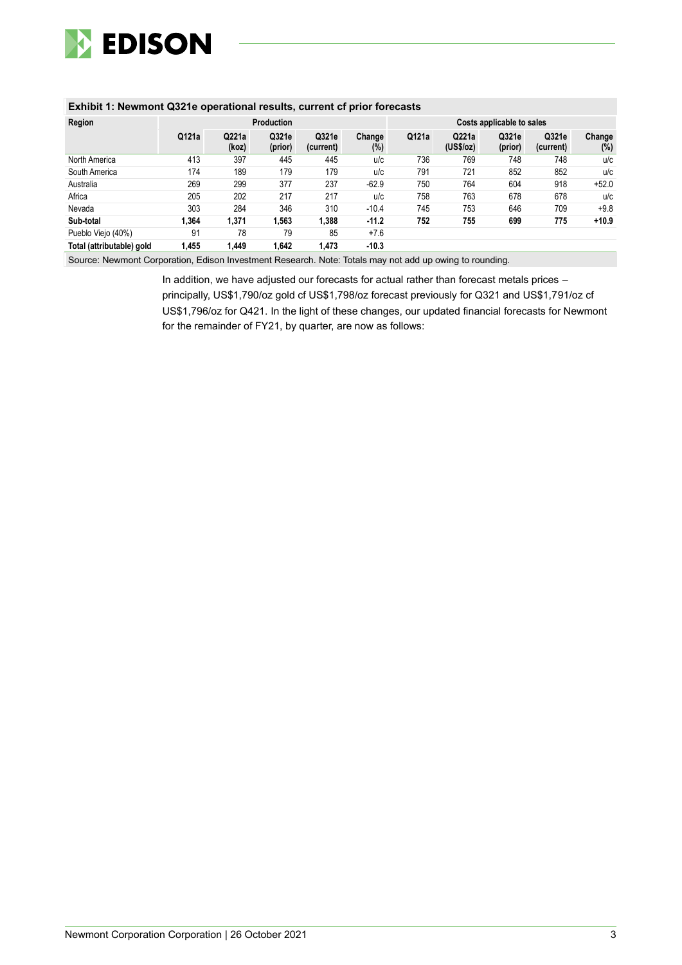

### **Exhibit 1: Newmont Q321e operational results, current cf prior forecasts**

| Region                    |       |                | <b>Production</b> |                    |               | Costs applicable to sales |                    |                  |                    |               |  |  |
|---------------------------|-------|----------------|-------------------|--------------------|---------------|---------------------------|--------------------|------------------|--------------------|---------------|--|--|
|                           | Q121a | Q221a<br>(koz) | Q321e<br>(prior)  | Q321e<br>(current) | Change<br>(%) | Q121a                     | Q221a<br>(US\$/oz) | Q321e<br>(prior) | Q321e<br>(current) | Change<br>(%) |  |  |
| North America             | 413   | 397            | 445               | 445                | u/c           | 736                       | 769                | 748              | 748                | u/c           |  |  |
| South America             | 174   | 189            | 179               | 179                | u/c           | 791                       | 721                | 852              | 852                | u/c           |  |  |
| Australia                 | 269   | 299            | 377               | 237                | $-62.9$       | 750                       | 764                | 604              | 918                | $+52.0$       |  |  |
| Africa                    | 205   | 202            | 217               | 217                | u/c           | 758                       | 763                | 678              | 678                | u/c           |  |  |
| Nevada                    | 303   | 284            | 346               | 310                | $-10.4$       | 745                       | 753                | 646              | 709                | $+9.8$        |  |  |
| Sub-total                 | 1.364 | 1,371          | 1,563             | 1,388              | $-11.2$       | 752                       | 755                | 699              | 775                | $+10.9$       |  |  |
| Pueblo Viejo (40%)        | 91    | 78             | 79                | 85                 | $+7.6$        |                           |                    |                  |                    |               |  |  |
| Total (attributable) gold | 1.455 | 1.449          | 1.642             | 1.473              | $-10.3$       |                           |                    |                  |                    |               |  |  |

Source: Newmont Corporation, Edison Investment Research. Note: Totals may not add up owing to rounding.

In addition, we have adjusted our forecasts for actual rather than forecast metals prices – principally, US\$1,790/oz gold cf US\$1,798/oz forecast previously for Q321 and US\$1,791/oz cf US\$1,796/oz for Q421. In the light of these changes, our updated financial forecasts for Newmont for the remainder of FY21, by quarter, are now as follows: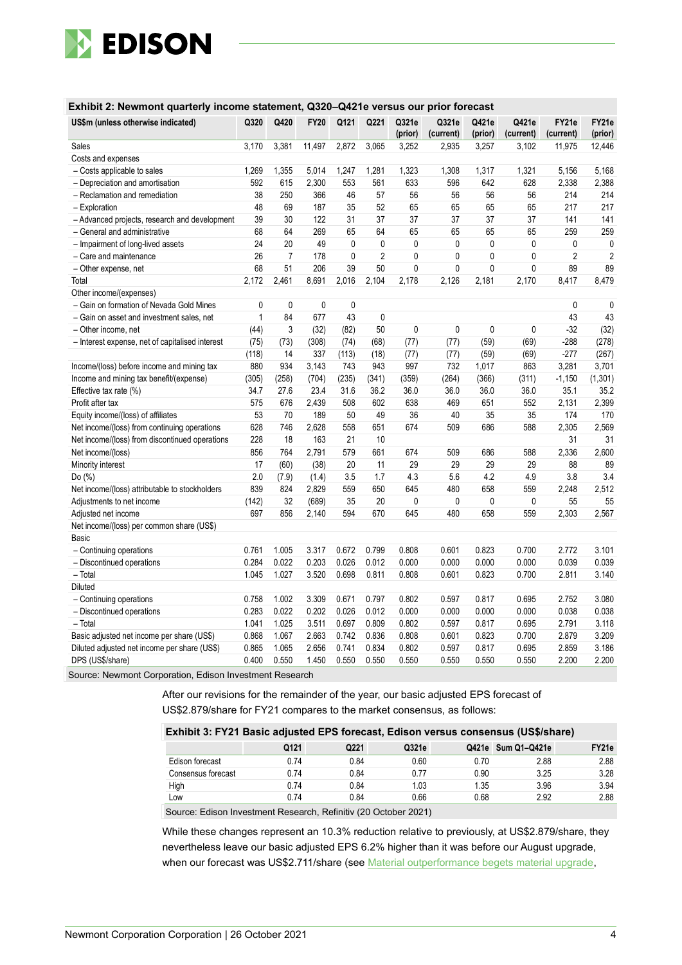

#### **Exhibit 2: Newmont quarterly income statement, Q320–Q421e versus our prior forecast**

| US\$m (unless otherwise indicated)              | Q320        | Q420           | <b>FY20</b> | Q121         | Q221        | Q321e<br>(prior) | Q321e<br>(current) | Q421e<br>(prior) | Q421e<br>(current) | FY21e<br>(current) | FY21e<br>(prior) |
|-------------------------------------------------|-------------|----------------|-------------|--------------|-------------|------------------|--------------------|------------------|--------------------|--------------------|------------------|
| Sales                                           | 3,170       | 3,381          | 11,497      | 2,872        | 3,065       | 3,252            | 2.935              | 3,257            | 3.102              | 11.975             | 12,446           |
| Costs and expenses                              |             |                |             |              |             |                  |                    |                  |                    |                    |                  |
| - Costs applicable to sales                     | 1,269       | 1,355          | 5,014       | 1,247        | 1,281       | 1,323            | 1,308              | 1,317            | 1,321              | 5,156              | 5,168            |
| - Depreciation and amortisation                 | 592         | 615            | 2,300       | 553          | 561         | 633              | 596                | 642              | 628                | 2,338              | 2,388            |
| - Reclamation and remediation                   | 38          | 250            | 366         | 46           | 57          | 56               | 56                 | 56               | 56                 | 214                | 214              |
| - Exploration                                   | 48          | 69             | 187         | 35           | 52          | 65               | 65                 | 65               | 65                 | 217                | 217              |
| - Advanced projects, research and development   | 39          | 30             | 122         | 31           | 37          | 37               | 37                 | 37               | 37                 | 141                | 141              |
| - General and administrative                    | 68          | 64             | 269         | 65           | 64          | 65               | 65                 | 65               | 65                 | 259                | 259              |
| - Impairment of long-lived assets               | 24          | 20             | 49          | 0            | $\mathbf 0$ | 0                | $\mathbf 0$        | $\mathbf 0$      | 0                  | 0                  | 0                |
| - Care and maintenance                          | 26          | $\overline{7}$ | 178         | $\mathbf{0}$ | 2           | $\mathbf{0}$     | 0                  | $\mathbf{0}$     | $\mathbf{0}$       | $\overline{2}$     | $\overline{2}$   |
| - Other expense, net                            | 68          | 51             | 206         | 39           | 50          | $\mathbf 0$      | 0                  | $\mathbf 0$      | $\mathbf 0$        | 89                 | 89               |
| Total                                           | 2,172       | 2,461          | 8,691       | 2,016        | 2,104       | 2,178            | 2,126              | 2,181            | 2,170              | 8,417              | 8,479            |
| Other income/(expenses)                         |             |                |             |              |             |                  |                    |                  |                    |                    |                  |
| - Gain on formation of Nevada Gold Mines        | $\mathbf 0$ | 0              | $\mathbf 0$ | $\pmb{0}$    |             |                  |                    |                  |                    | 0                  | 0                |
| - Gain on asset and investment sales, net       | 1           | 84             | 677         | 43           | 0           |                  |                    |                  |                    | 43                 | 43               |
| - Other income, net                             | (44)        | 3              | (32)        | (82)         | 50          | 0                | 0                  | 0                | 0                  | $-32$              | (32)             |
| - Interest expense, net of capitalised interest | (75)        | (73)           | (308)       | (74)         | (68)        | (77)             | (77)               | (59)             | (69)               | $-288$             | (278)            |
|                                                 | (118)       | 14             | 337         | (113)        | (18)        | (77)             | (77)               | (59)             | (69)               | $-277$             | (267)            |
| Income/(loss) before income and mining tax      | 880         | 934            | 3,143       | 743          | 943         | 997              | 732                | 1,017            | 863                | 3,281              | 3,701            |
| Income and mining tax benefit/(expense)         | (305)       | (258)          | (704)       | (235)        | (341)       | (359)            | (264)              | (366)            | (311)              | $-1,150$           | (1, 301)         |
| Effective tax rate (%)                          | 34.7        | 27.6           | 23.4        | 31.6         | 36.2        | 36.0             | 36.0               | 36.0             | 36.0               | 35.1               | 35.2             |
| Profit after tax                                | 575         | 676            | 2,439       | 508          | 602         | 638              | 469                | 651              | 552                | 2,131              | 2,399            |
| Equity income/(loss) of affiliates              | 53          | 70             | 189         | 50           | 49          | 36               | 40                 | 35               | 35                 | 174                | 170              |
| Net income/(loss) from continuing operations    | 628         | 746            | 2,628       | 558          | 651         | 674              | 509                | 686              | 588                | 2,305              | 2,569            |
| Net income/(loss) from discontinued operations  | 228         | 18             | 163         | 21           | 10          |                  |                    |                  |                    | 31                 | 31               |
| Net income/(loss)                               | 856         | 764            | 2,791       | 579          | 661         | 674              | 509                | 686              | 588                | 2,336              | 2,600            |
| Minority interest                               | 17          | (60)           | (38)        | 20           | 11          | 29               | 29                 | 29               | 29                 | 88                 | 89               |
| Do (%)                                          | 2.0         | (7.9)          | (1.4)       | 3.5          | 1.7         | 4.3              | 5.6                | 4.2              | 4.9                | 3.8                | 3.4              |
| Net income/(loss) attributable to stockholders  | 839         | 824            | 2,829       | 559          | 650         | 645              | 480                | 658              | 559                | 2,248              | 2,512            |
| Adjustments to net income                       | (142)       | 32             | (689)       | 35           | 20          | 0                | 0                  | 0                | 0                  | 55                 | 55               |
| Adjusted net income                             | 697         | 856            | 2,140       | 594          | 670         | 645              | 480                | 658              | 559                | 2,303              | 2,567            |
| Net income/(loss) per common share (US\$)       |             |                |             |              |             |                  |                    |                  |                    |                    |                  |
| Basic                                           |             |                |             |              |             |                  |                    |                  |                    |                    |                  |
| - Continuing operations                         | 0.761       | 1.005          | 3.317       | 0.672        | 0.799       | 0.808            | 0.601              | 0.823            | 0.700              | 2.772              | 3.101            |
| - Discontinued operations                       | 0.284       | 0.022          | 0.203       | 0.026        | 0.012       | 0.000            | 0.000              | 0.000            | 0.000              | 0.039              | 0.039            |
| - Total                                         | 1.045       | 1.027          | 3.520       | 0.698        | 0.811       | 0.808            | 0.601              | 0.823            | 0.700              | 2.811              | 3.140            |
| <b>Diluted</b>                                  |             |                |             |              |             |                  |                    |                  |                    |                    |                  |
| - Continuing operations                         | 0.758       | 1.002          | 3.309       | 0.671        | 0.797       | 0.802            | 0.597              | 0.817            | 0.695              | 2.752              | 3.080            |
| - Discontinued operations                       | 0.283       | 0.022          | 0.202       | 0.026        | 0.012       | 0.000            | 0.000              | 0.000            | 0.000              | 0.038              | 0.038            |
| $-$ Total                                       | 1.041       | 1.025          | 3.511       | 0.697        | 0.809       | 0.802            | 0.597              | 0.817            | 0.695              | 2.791              | 3.118            |
| Basic adjusted net income per share (US\$)      | 0.868       | 1.067          | 2.663       | 0.742        | 0.836       | 0.808            | 0.601              | 0.823            | 0.700              | 2.879              | 3.209            |
| Diluted adjusted net income per share (US\$)    | 0.865       | 1.065          | 2.656       | 0.741        | 0.834       | 0.802            | 0.597              | 0.817            | 0.695              | 2.859              | 3.186            |
| DPS (US\$/share)                                | 0.400       | 0.550          | 1.450       | 0.550        | 0.550       | 0.550            | 0.550              | 0.550            | 0.550              | 2.200              | 2.200            |

Source: Newmont Corporation, Edison Investment Research

After our revisions for the remainder of the year, our basic adjusted EPS forecast of US\$2.879/share for FY21 compares to the market consensus, as follows:

### **Exhibit 3: FY21 Basic adjusted EPS forecast, Edison versus consensus (US\$/share)**

|                    | Q121 | Q221 | Q321e |      | Q421e Sum Q1-Q421e | FY21e |
|--------------------|------|------|-------|------|--------------------|-------|
| Edison forecast    | 0.74 | 0.84 | 0.60  | 0.70 | 2.88               | 2.88  |
| Consensus forecast | 0.74 | 0.84 | 0.77  | 0.90 | 3.25               | 3.28  |
| High               | 0.74 | 0.84 | 1.03  | 1.35 | 3.96               | 3.94  |
| Low                | 0.74 | 0.84 | 0.66  | 0.68 | 2.92               | 2.88  |
| __                 |      |      | ----- |      |                    |       |

Source: Edison Investment Research, Refinitiv (20 October 2021)

While these changes represent an 10.3% reduction relative to previously, at US\$2.879/share, they nevertheless leave our basic adjusted EPS 6.2% higher than it was before our August upgrade, when our forecast was US\$2.711/share (see Material outperformance begets material upgrade,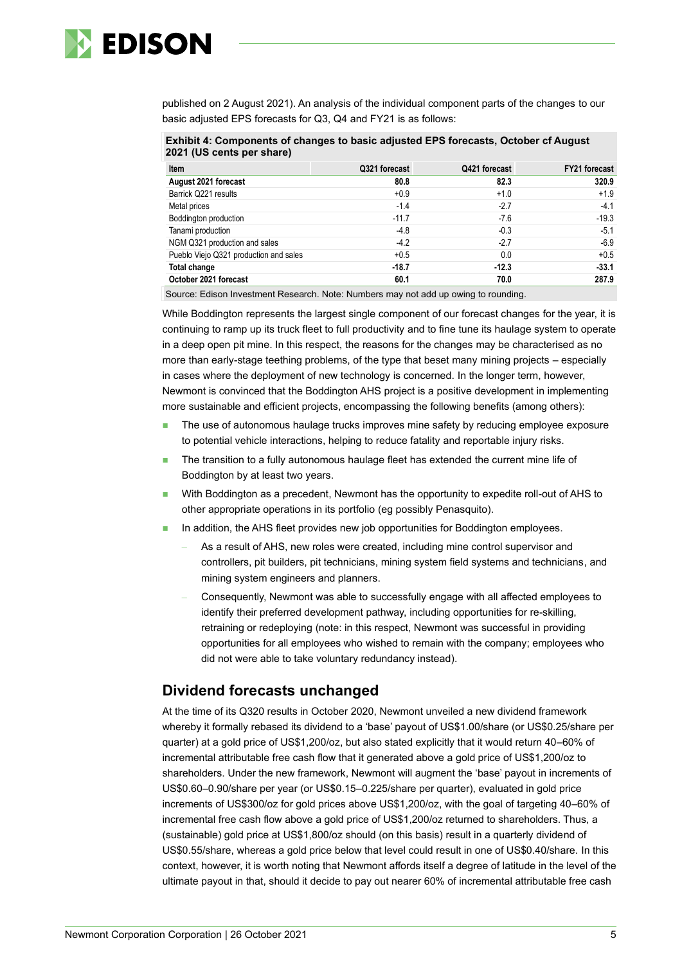

published on 2 August 2021). An analysis of the individual component parts of the changes to our basic adjusted EPS forecasts for Q3, Q4 and FY21 is as follows:

**Exhibit 4: Components of changes to basic adjusted EPS forecasts, October cf August 2021 (US cents per share)**

| Item                                   | Q321 forecast | Q421 forecast | <b>FY21 forecast</b> |
|----------------------------------------|---------------|---------------|----------------------|
| August 2021 forecast                   | 80.8          | 82.3          | 320.9                |
| Barrick Q221 results                   | $+0.9$        | $+1.0$        | $+1.9$               |
| Metal prices                           | $-1.4$        | $-2.7$        | $-4.1$               |
| Boddington production                  | $-11.7$       | $-7.6$        | $-19.3$              |
| Tanami production                      | $-4.8$        | $-0.3$        | $-5.1$               |
| NGM Q321 production and sales          | $-4.2$        | $-2.7$        | $-6.9$               |
| Pueblo Viejo Q321 production and sales | $+0.5$        | 0.0           | $+0.5$               |
| Total change                           | $-18.7$       | $-12.3$       | $-33.1$              |
| October 2021 forecast                  | 60.1          | 70.0          | 287.9                |

Source: Edison Investment Research. Note: Numbers may not add up owing to rounding.

While Boddington represents the largest single component of our forecast changes for the year, it is continuing to ramp up its truck fleet to full productivity and to fine tune its haulage system to operate in a deep open pit mine. In this respect, the reasons for the changes may be characterised as no more than early-stage teething problems, of the type that beset many mining projects – especially in cases where the deployment of new technology is concerned. In the longer term, however, Newmont is convinced that the Boddington AHS project is a positive development in implementing more sustainable and efficient projects, encompassing the following benefits (among others):

- The use of autonomous haulage trucks improves mine safety by reducing employee exposure to potential vehicle interactions, helping to reduce fatality and reportable injury risks.
- The transition to a fully autonomous haulage fleet has extended the current mine life of Boddington by at least two years.
- With Boddington as a precedent, Newmont has the opportunity to expedite roll-out of AHS to other appropriate operations in its portfolio (eg possibly Penasquito).
- In addition, the AHS fleet provides new job opportunities for Boddington employees.
	- As a result of AHS, new roles were created, including mine control supervisor and controllers, pit builders, pit technicians, mining system field systems and technicians, and mining system engineers and planners.
	- Consequently, Newmont was able to successfully engage with all affected employees to identify their preferred development pathway, including opportunities for re-skilling, retraining or redeploying (note: in this respect, Newmont was successful in providing opportunities for all employees who wished to remain with the company; employees who did not were able to take voluntary redundancy instead).

# **Dividend forecasts unchanged**

At the time of its Q320 results in October 2020, Newmont unveiled a new dividend framework whereby it formally rebased its dividend to a 'base' payout of US\$1.00/share (or US\$0.25/share per quarter) at a gold price of US\$1,200/oz, but also stated explicitly that it would return 40–60% of incremental attributable free cash flow that it generated above a gold price of US\$1,200/oz to shareholders. Under the new framework, Newmont will augment the 'base' payout in increments of US\$0.60–0.90/share per year (or US\$0.15–0.225/share per quarter), evaluated in gold price increments of US\$300/oz for gold prices above US\$1,200/oz, with the goal of targeting 40–60% of incremental free cash flow above a gold price of US\$1,200/oz returned to shareholders. Thus, a (sustainable) gold price at US\$1,800/oz should (on this basis) result in a quarterly dividend of US\$0.55/share, whereas a gold price below that level could result in one of US\$0.40/share. In this context, however, it is worth noting that Newmont affords itself a degree of latitude in the level of the ultimate payout in that, should it decide to pay out nearer 60% of incremental attributable free cash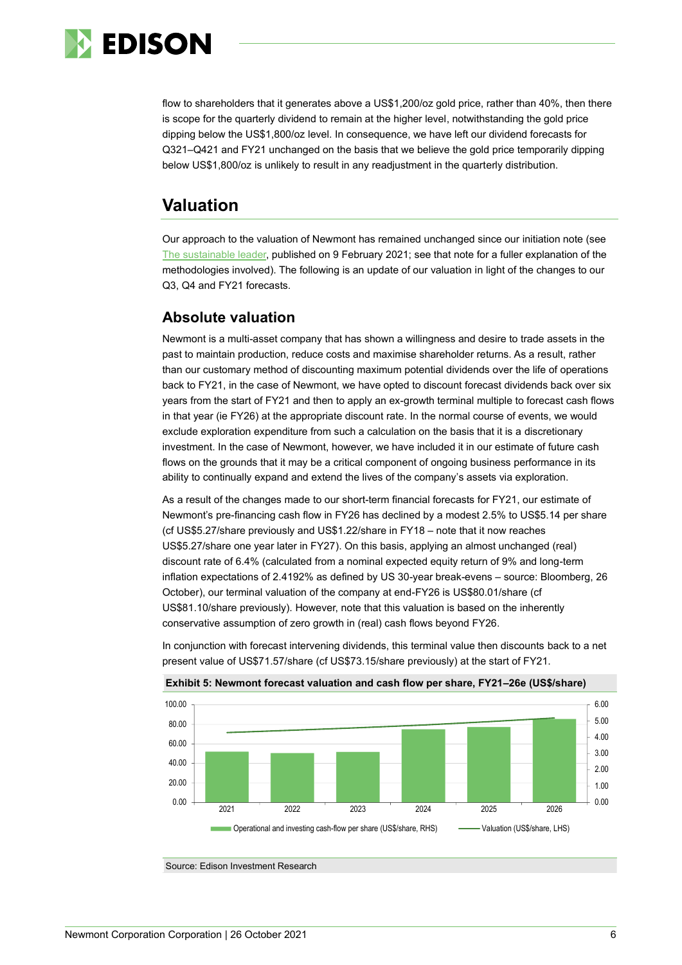

flow to shareholders that it generates above a US\$1,200/oz gold price, rather than 40%, then there is scope for the quarterly dividend to remain at the higher level, notwithstanding the gold price dipping below the US\$1,800/oz level. In consequence, we have left our dividend forecasts for Q321–Q421 and FY21 unchanged on the basis that we believe the gold price temporarily dipping below US\$1,800/oz is unlikely to result in any readjustment in the quarterly distribution.

# **Valuation**

Our approach to the valuation of Newmont has remained unchanged since our initiation note (see [The sustainable leader,](https://www.edisongroup.com/publication/the-sustainable-leader-2/28806/) published on 9 February 2021; see that note for a fuller explanation of the methodologies involved). The following is an update of our valuation in light of the changes to our Q3, Q4 and FY21 forecasts.

# **Absolute valuation**

Newmont is a multi-asset company that has shown a willingness and desire to trade assets in the past to maintain production, reduce costs and maximise shareholder returns. As a result, rather than our customary method of discounting maximum potential dividends over the life of operations back to FY21, in the case of Newmont, we have opted to discount forecast dividends back over six years from the start of FY21 and then to apply an ex-growth terminal multiple to forecast cash flows in that year (ie FY26) at the appropriate discount rate. In the normal course of events, we would exclude exploration expenditure from such a calculation on the basis that it is a discretionary investment. In the case of Newmont, however, we have included it in our estimate of future cash flows on the grounds that it may be a critical component of ongoing business performance in its ability to continually expand and extend the lives of the company's assets via exploration.

As a result of the changes made to our short-term financial forecasts for FY21, our estimate of Newmont's pre-financing cash flow in FY26 has declined by a modest 2.5% to US\$5.14 per share (cf US\$5.27/share previously and US\$1.22/share in FY18 – note that it now reaches US\$5.27/share one year later in FY27). On this basis, applying an almost unchanged (real) discount rate of 6.4% (calculated from a nominal expected equity return of 9% and long-term inflation expectations of 2.4192% as defined by US 30-year break-evens – source: Bloomberg, 26 October), our terminal valuation of the company at end-FY26 is US\$80.01/share (cf US\$81.10/share previously). However, note that this valuation is based on the inherently conservative assumption of zero growth in (real) cash flows beyond FY26.

In conjunction with forecast intervening dividends, this terminal value then discounts back to a net present value of US\$71.57/share (cf US\$73.15/share previously) at the start of FY21.



**Exhibit 5: Newmont forecast valuation and cash flow per share, FY21–26e (US\$/share)**

Source: Edison Investment Research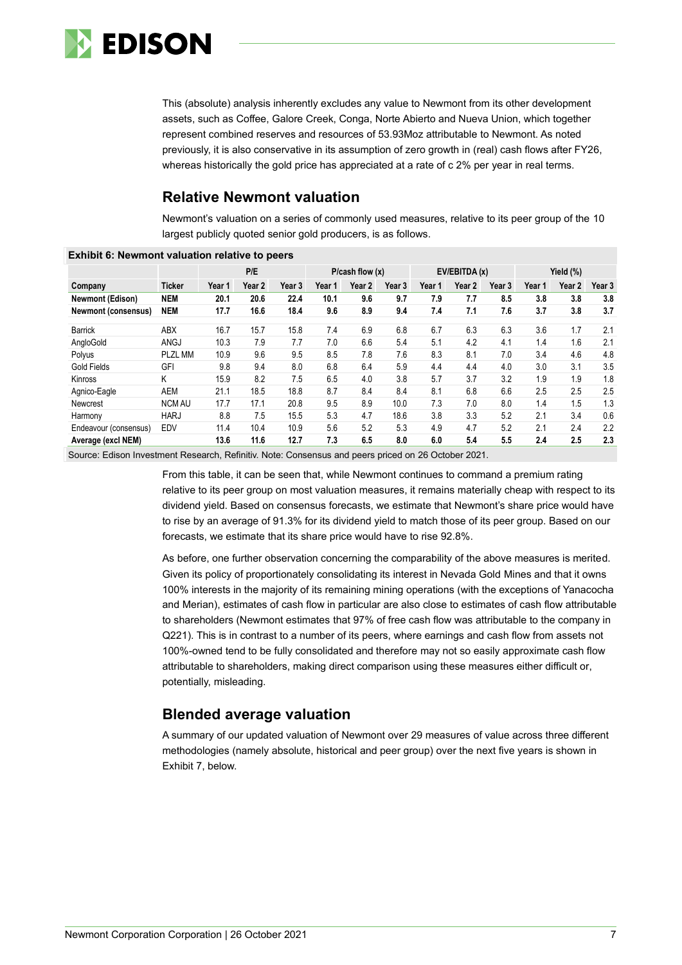

This (absolute) analysis inherently excludes any value to Newmont from its other development assets, such as Coffee, Galore Creek, Conga, Norte Abierto and Nueva Union, which together represent combined reserves and resources of 53.93Moz attributable to Newmont. As noted previously, it is also conservative in its assumption of zero growth in (real) cash flows after FY26, whereas historically the gold price has appreciated at a rate of c 2% per year in real terms.

# **Relative Newmont valuation**

Newmont's valuation on a series of commonly used measures, relative to its peer group of the 10 largest publicly quoted senior gold producers, is as follows.

| LAINSIL V. REWINDIR VAIDANON TEIANVE IO DECIS |                |        |        |        |                |        |        |               |        |        |           |        |        |
|-----------------------------------------------|----------------|--------|--------|--------|----------------|--------|--------|---------------|--------|--------|-----------|--------|--------|
|                                               |                |        | P/E    |        | P/cash flow(x) |        |        | EV/EBITDA (x) |        |        | Yield (%) |        |        |
| Company                                       | <b>Ticker</b>  | Year 1 | Year 2 | Year 3 | Year 1         | Year 2 | Year 3 | Year 1        | Year 2 | Year 3 | Year 1    | Year 2 | Year 3 |
| <b>Newmont (Edison)</b>                       | <b>NEM</b>     | 20.1   | 20.6   | 22.4   | 10.1           | 9.6    | 9.7    | 7.9           | 7.7    | 8.5    | 3.8       | 3.8    | 3.8    |
| <b>Newmont (consensus)</b>                    | <b>NEM</b>     | 17.7   | 16.6   | 18.4   | 9.6            | 8.9    | 9.4    | 7.4           | 7.1    | 7.6    | 3.7       | 3.8    | 3.7    |
| <b>Barrick</b>                                | ABX            | 16.7   | 15.7   | 15.8   | 7.4            | 6.9    | 6.8    | 6.7           | 6.3    | 6.3    | 3.6       | 1.7    | 2.1    |
| AngloGold                                     | <b>ANGJ</b>    | 10.3   | 7.9    | 7.7    | 7.0            | 6.6    | 5.4    | 5.1           | 4.2    | 4.1    | 1.4       | 1.6    | 2.1    |
| Polyus                                        | <b>PLZL MM</b> | 10.9   | 9.6    | 9.5    | 8.5            | 7.8    | 7.6    | 8.3           | 8.1    | 7.0    | 3.4       | 4.6    | 4.8    |
| <b>Gold Fields</b>                            | GFI            | 9.8    | 9.4    | 8.0    | 6.8            | 6.4    | 5.9    | 4.4           | 4.4    | 4.0    | 3.0       | 3.1    | 3.5    |
| Kinross                                       | Κ              | 15.9   | 8.2    | 7.5    | 6.5            | 4.0    | 3.8    | 5.7           | 3.7    | 3.2    | 1.9       | 1.9    | 1.8    |
| Agnico-Eagle                                  | AEM            | 21.1   | 18.5   | 18.8   | 8.7            | 8.4    | 8.4    | 8.1           | 6.8    | 6.6    | 2.5       | 2.5    | 2.5    |
| Newcrest                                      | <b>NCM AU</b>  | 17.7   | 17.1   | 20.8   | 9.5            | 8.9    | 10.0   | 7.3           | 7.0    | 8.0    | 1.4       | 1.5    | 1.3    |
| Harmony                                       | <b>HARJ</b>    | 8.8    | 7.5    | 15.5   | 5.3            | 4.7    | 18.6   | 3.8           | 3.3    | 5.2    | 2.1       | 3.4    | 0.6    |
| Endeavour (consensus)                         | EDV            | 11.4   | 10.4   | 10.9   | 5.6            | 5.2    | 5.3    | 4.9           | 4.7    | 5.2    | 2.1       | 2.4    | 2.2    |
| Average (excl NEM)                            |                | 13.6   | 11.6   | 12.7   | 7.3            | 6.5    | 8.0    | 6.0           | 5.4    | 5.5    | 2.4       | 2.5    | 2.3    |

# **Exhibit 6: Newmont valuation relative to peers**

Source: Edison Investment Research, Refinitiv. Note: Consensus and peers priced on 26 October 2021.

From this table, it can be seen that, while Newmont continues to command a premium rating relative to its peer group on most valuation measures, it remains materially cheap with respect to its dividend yield. Based on consensus forecasts, we estimate that Newmont's share price would have to rise by an average of 91.3% for its dividend yield to match those of its peer group. Based on our forecasts, we estimate that its share price would have to rise 92.8%.

As before, one further observation concerning the comparability of the above measures is merited. Given its policy of proportionately consolidating its interest in Nevada Gold Mines and that it owns 100% interests in the majority of its remaining mining operations (with the exceptions of Yanacocha and Merian), estimates of cash flow in particular are also close to estimates of cash flow attributable to shareholders (Newmont estimates that 97% of free cash flow was attributable to the company in Q221). This is in contrast to a number of its peers, where earnings and cash flow from assets not 100%-owned tend to be fully consolidated and therefore may not so easily approximate cash flow attributable to shareholders, making direct comparison using these measures either difficult or, potentially, misleading.

# **Blended average valuation**

A summary of our updated valuation of Newmont over 29 measures of value across three different methodologies (namely absolute, historical and peer group) over the next five years is shown in Exhibit 7, below.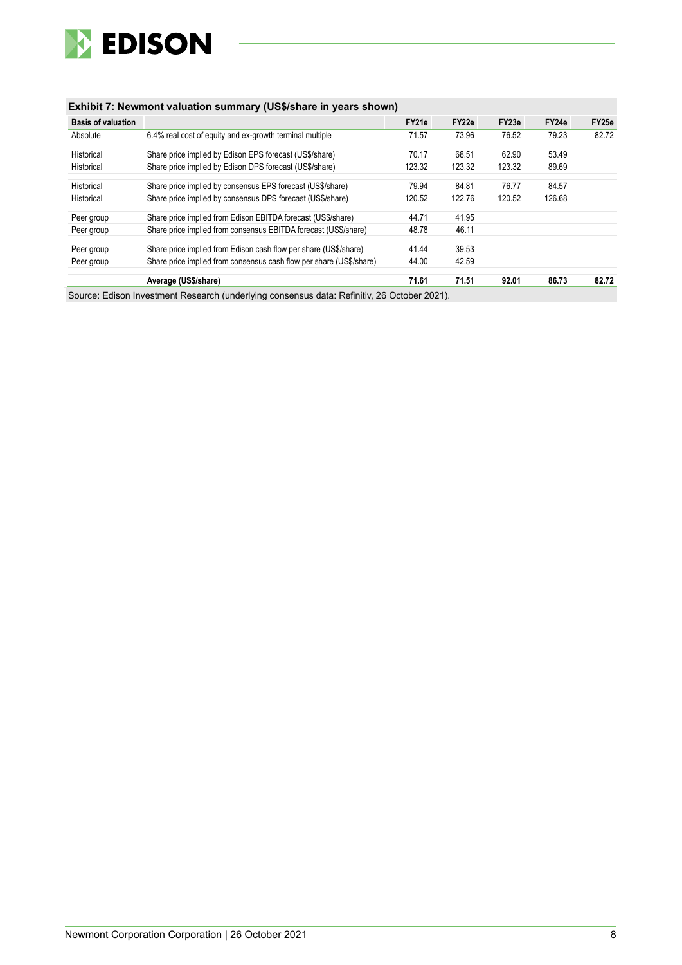

# **Exhibit 7: Newmont valuation summary (US\$/share in years shown)**

| <b>Basis of valuation</b> |                                                                     | FY21e  | FY22e  | FY23e  | FY24e  | FY25e |
|---------------------------|---------------------------------------------------------------------|--------|--------|--------|--------|-------|
| Absolute                  | 6.4% real cost of equity and ex-growth terminal multiple            | 71.57  | 73.96  | 76.52  | 79.23  | 82.72 |
| Historical                | Share price implied by Edison EPS forecast (US\$/share)             | 70.17  | 68.51  | 62.90  | 53.49  |       |
| Historical                | Share price implied by Edison DPS forecast (US\$/share)             | 123.32 | 123.32 | 123.32 | 89.69  |       |
| Historical                | Share price implied by consensus EPS forecast (US\$/share)          | 79.94  | 84.81  | 76.77  | 84.57  |       |
| Historical                | Share price implied by consensus DPS forecast (US\$/share)          | 120.52 | 122.76 | 120.52 | 126.68 |       |
| Peer group                | Share price implied from Edison EBITDA forecast (US\$/share)        | 44.71  | 41.95  |        |        |       |
| Peer group                | Share price implied from consensus EBITDA forecast (US\$/share)     | 48.78  | 46.11  |        |        |       |
| Peer group                | Share price implied from Edison cash flow per share (US\$/share)    | 41.44  | 39.53  |        |        |       |
| Peer group                | Share price implied from consensus cash flow per share (US\$/share) | 44.00  | 42.59  |        |        |       |
|                           | Average (US\$/share)                                                | 71.61  | 71.51  | 92.01  | 86.73  | 82.72 |

Source: Edison Investment Research (underlying consensus data: Refinitiv, 26 October 2021).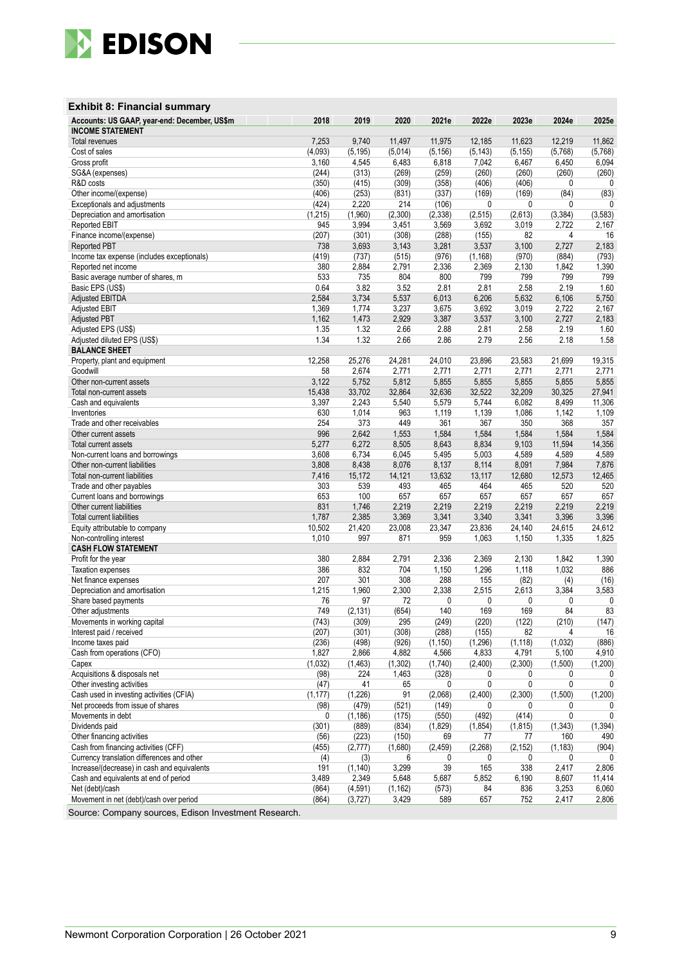

# **Exhibit 8: Financial summary**

| Accounts: US GAAP, year-end: December, US\$m<br><b>INCOME STATEMENT</b> | 2018     | 2019              | 2020           | 2021e              | 2022e      | 2023e          | 2024e    | 2025e        |
|-------------------------------------------------------------------------|----------|-------------------|----------------|--------------------|------------|----------------|----------|--------------|
| <b>Total revenues</b>                                                   | 7,253    | 9,740             | 11,497         |                    | 12,185     | 11,623         | 12,219   | 11,862       |
| Cost of sales                                                           | (4,093)  |                   | (5,014)        | 11,975<br>(5, 156) | (5, 143)   | (5, 155)       | (5,768)  | (5,768)      |
| Gross profit                                                            | 3,160    | (5, 195)<br>4,545 | 6,483          | 6,818              | 7,042      | 6,467          | 6,450    | 6,094        |
| SG&A (expenses)                                                         | (244)    | (313)             | (269)          | (259)              | (260)      | (260)          | (260)    | (260)        |
| R&D costs                                                               | (350)    | (415)             |                |                    |            |                | 0        | 0            |
| Other income/(expense)                                                  | (406)    | (253)             | (309)<br>(831) | (358)<br>(337)     | (406)      | (406)<br>(169) | (84)     |              |
|                                                                         |          | 2,220             | 214            |                    | (169)<br>0 | 0              | 0        | (83)<br>0    |
| Exceptionals and adjustments                                            | (424)    |                   |                | (106)              |            | (2,613)        |          |              |
| Depreciation and amortisation                                           | (1, 215) | (1,960)           | (2,300)        | (2, 338)           | (2, 515)   |                | (3, 384) | (3, 583)     |
| <b>Reported EBIT</b>                                                    | 945      | 3,994             | 3,451          | 3,569              | 3,692      | 3,019          | 2,722    | 2,167        |
| Finance income/(expense)                                                | (207)    | (301)             | (308)          | (288)              | (155)      | 82             | 4        | 16           |
| <b>Reported PBT</b>                                                     | 738      | 3,693             | 3,143          | 3,281              | 3,537      | 3,100          | 2,727    | 2,183        |
| Income tax expense (includes exceptionals)                              | (419)    | (737)             | (515)          | (976)              | (1, 168)   | (970)          | (884)    | (793)        |
| Reported net income                                                     | 380      | 2,884             | 2,791          | 2,336              | 2,369      | 2,130          | 1,842    | 1,390        |
| Basic average number of shares, m                                       | 533      | 735               | 804            | 800                | 799        | 799            | 799      | 799          |
| Basic EPS (US\$)                                                        | 0.64     | 3.82              | 3.52           | 2.81               | 2.81       | 2.58           | 2.19     | 1.60         |
| <b>Adjusted EBITDA</b>                                                  | 2,584    | 3,734             | 5,537          | 6,013              | 6,206      | 5,632          | 6,106    | 5,750        |
| <b>Adjusted EBIT</b>                                                    | 1,369    | 1,774             | 3,237          | 3,675              | 3,692      | 3,019          | 2,722    | 2,167        |
| <b>Adjusted PBT</b>                                                     | 1,162    | 1,473             | 2,929          | 3,387              | 3,537      | 3,100          | 2,727    | 2,183        |
| Adjusted EPS (US\$)                                                     | 1.35     | 1.32              | 2.66           | 2.88               | 2.81       | 2.58           | 2.19     | 1.60         |
| Adjusted diluted EPS (US\$)                                             | 1.34     | 1.32              | 2.66           | 2.86               | 2.79       | 2.56           | 2.18     | 1.58         |
| <b>BALANCE SHEET</b>                                                    |          |                   |                |                    |            |                |          |              |
| Property, plant and equipment                                           | 12,258   | 25,276            | 24,281         | 24,010             | 23,896     | 23,583         | 21,699   | 19,315       |
| Goodwill                                                                | 58       | 2,674             | 2,771          | 2,771              | 2,771      | 2,771          | 2,771    | 2,771        |
| Other non-current assets                                                | 3,122    | 5,752             | 5,812          | 5,855              | 5,855      | 5,855          | 5,855    | 5,855        |
| Total non-current assets                                                | 15,438   | 33,702            | 32,864         | 32,636             | 32,522     | 32,209         | 30,325   | 27,941       |
| Cash and equivalents                                                    | 3,397    | 2,243             | 5,540          | 5,579              | 5,744      | 6,082          | 8,499    | 11,306       |
| Inventories                                                             | 630      | 1,014             | 963            | 1,119              | 1,139      | 1,086          | 1,142    | 1,109        |
| Trade and other receivables                                             | 254      | 373               | 449            | 361                | 367        | 350            | 368      | 357          |
| Other current assets                                                    | 996      | 2,642             | 1,553          | 1,584              | 1,584      | 1,584          | 1,584    | 1,584        |
| Total current assets                                                    | 5,277    | 6,272             | 8,505          | 8,643              | 8,834      | 9,103          | 11,594   | 14,356       |
| Non-current loans and borrowings                                        | 3,608    | 6,734             | 6,045          | 5,495              | 5,003      | 4,589          | 4,589    | 4,589        |
| Other non-current liabilities                                           | 3,808    | 8,438             | 8,076          | 8,137              | 8,114      | 8,091          | 7,984    | 7,876        |
| Total non-current liabilities                                           | 7,416    | 15,172            | 14,121         | 13,632             | 13,117     | 12,680         | 12,573   | 12,465       |
| Trade and other payables                                                | 303      | 539               | 493            | 465                | 464        | 465            | 520      | 520          |
| Current loans and borrowings                                            | 653      | 100               | 657            | 657                | 657        | 657            | 657      | 657          |
| Other current liabilities                                               | 831      | 1,746             | 2,219          | 2,219              | 2,219      | 2,219          | 2,219    | 2,219        |
| Total current liabilities                                               | 1,787    | 2,385             | 3,369          | 3,341              | 3,340      | 3,341          | 3,396    | 3,396        |
| Equity attributable to company                                          | 10,502   | 21,420            | 23,008         | 23,347             | 23,836     | 24,140         | 24,615   | 24,612       |
| Non-controlling interest                                                | 1,010    | 997               | 871            | 959                | 1,063      | 1,150          | 1,335    | 1,825        |
| <b>CASH FLOW STATEMENT</b>                                              |          |                   |                |                    |            |                |          |              |
| Profit for the year                                                     | 380      | 2,884             | 2,791          | 2,336              | 2,369      | 2,130          | 1,842    | 1,390        |
| <b>Taxation expenses</b>                                                | 386      | 832               | 704            | 1,150              | 1,296      | 1,118          | 1,032    | 886          |
| Net finance expenses                                                    | 207      | 301               | 308            | 288                | 155        | (82)           | (4)      | (16)         |
| Depreciation and amortisation                                           | 1,215    | 1,960             | 2,300          | 2,338              | 2,515      | 2,613          | 3,384    | 3,583        |
| Share based payments                                                    | 76       | 97                | 72             | 0                  | 0          | 0              | 0        | 0            |
| Other adjustments                                                       | 749      | (2, 131)          | (654)          | 140                | 169        | 169            | 84       | 83           |
| Movements in working capital                                            | (743)    | (309)             | 295            | (249)              | (220)      | (122)          | (210)    | (147)        |
| Interest paid / received                                                | (207)    | (301)             | (308)          | (288)              | (155)      | 82             | 4        | 16           |
| Income taxes paid                                                       | (236)    | (498)             | (926)          | (1, 150)           | (1, 296)   | (1, 118)       | (1,032)  | (886)        |
| Cash from operations (CFO)                                              | 1,827    | 2,866             | 4,882          | 4,566              | 4,833      | 4,791          | 5,100    | 4,910        |
| Capex                                                                   | (1,032)  | (1, 463)          | (1, 302)       | (1,740)            | (2,400)    | (2,300)        | (1,500)  | (1,200)      |
| Acquisitions & disposals net                                            | (98)     | 224               | 1,463          | (328)              | 0          | 0              | 0        | 0            |
| Other investing activities                                              | (47)     | 41                | 65             | 0                  | 0          | 0              | 0        | 0            |
| Cash used in investing activities (CFIA)                                | (1, 177) | (1,226)           | 91             | (2,068)            | (2,400)    | (2,300)        | (1,500)  | (1,200)      |
| Net proceeds from issue of shares                                       | (98)     | (479)             | (521)          | (149)              | 0          | 0              | 0        | 0            |
| Movements in debt                                                       | 0        | (1, 186)          | (175)          | (550)              | (492)      | (414)          | 0        | 0            |
| Dividends paid                                                          | (301)    | (889)             | (834)          | (1,829)            | (1,854)    | (1, 815)       | (1, 343) | (1, 394)     |
| Other financing activities                                              | (56)     | (223)             | (150)          | 69                 | 77         | 77             | 160      | 490          |
| Cash from financing activities (CFF)                                    | (455)    | (2,777)           | (1,680)        | (2, 459)           | (2, 268)   | (2, 152)       | (1, 183) | (904)        |
| Currency translation differences and other                              | (4)      | (3)               | 6              | 0                  | 0          | 0              | 0        | $\mathbf{0}$ |
| Increase/(decrease) in cash and equivalents                             | 191      | (1, 140)          | 3,299          | 39                 | 165        | 338            | 2,417    | 2,806        |
| Cash and equivalents at end of period                                   | 3,489    | 2,349             | 5,648          | 5,687              | 5,852      | 6,190          | 8,607    | 11,414       |
| Net (debt)/cash                                                         | (864)    | (4, 591)          | (1, 162)       | (573)              | 84         | 836            | 3,253    | 6,060        |
| Movement in net (debt)/cash over period                                 | (864)    | (3,727)           | 3,429          | 589                | 657        | 752            | 2,417    | 2,806        |
| Source: Company sources Edison Investment Research                      |          |                   |                |                    |            |                |          |              |

ource: Company sources, Edison Investment Research.